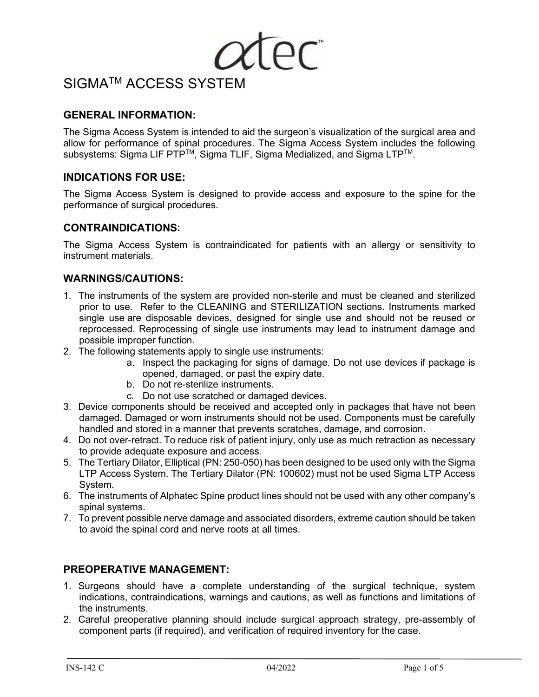

## **GENERAL INFORMATION:**

The Sigma Access System is intended to aid the surgeon's visualization of the surgical area and allow for performance of spinal procedures. The Sigma Access System includes the following subsystems: Sigma LIF PTP™, Sigma TLIF, Sigma Medialized, and Sigma LTP™.

### **INDICATIONS FOR USE:**

The Sigma Access System is designed to provide access and exposure to the spine for the performance of surgical procedures.

### **CONTRAINDICATIONS:**

The Sigma Access System is contraindicated for patients with an allergy or sensitivity to instrument materials.

### **WARNINGS/CAUTIONS:**

- 1. The instruments of the system are provided non-sterile and must be cleaned and sterilized prior to use. Refer to the CLEANING and STERILIZATION sections. Instruments marked single use are disposable devices, designed for single use and should not be reused or reprocessed. Reprocessing of single use instruments may lead to instrument damage and possible improper function.
- 2. The following statements apply to single use instruments:
	- a. Inspect the packaging for signs of damage. Do not use devices if package is opened, damaged, or past the expiry date.
	- b. Do not re-sterilize instruments.
	- c. Do not use scratched or damaged devices.
- 3. Device components should be received and accepted only in packages that have not been damaged. Damaged or worn instruments should not be used. Components must be carefully handled and stored in a manner that prevents scratches, damage, and corrosion.
- 4. Do not over-retract. To reduce risk of patient injury, only use as much retraction as necessary to provide adequate exposure and access.
- 5. The Tertiary Dilator, Elliptical (PN: 250-050) has been designed to be used only with the Sigma LTP Access System. The Tertiary Dilator (PN: 100602) must not be used Sigma LTP Access System.
- 6. The instruments of Alphatec Spine product lines should not be used with any other company's spinal systems.
- 7. To prevent possible nerve damage and associated disorders, extreme caution should be taken to avoid the spinal cord and nerve roots at all times.

### **PREOPERATIVE MANAGEMENT:**

- 1. Surgeons should have a complete understanding of the surgical technique, system indications, contraindications, warnings and cautions, as well as functions and limitations of the instruments.
- 2. Careful preoperative planning should include surgical approach strategy, pre-assembly of component parts (if required), and verification of required inventory for the case.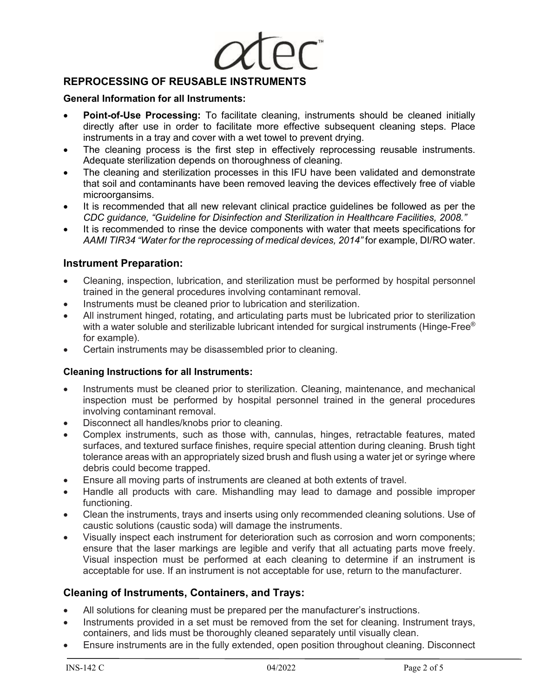

## **REPROCESSING OF REUSABLE INSTRUMENTS**

#### **General Information for all Instruments:**

- **Point-of-Use Processing:** To facilitate cleaning, instruments should be cleaned initially directly after use in order to facilitate more effective subsequent cleaning steps. Place instruments in a tray and cover with a wet towel to prevent drying.
- The cleaning process is the first step in effectively reprocessing reusable instruments. Adequate sterilization depends on thoroughness of cleaning.
- The cleaning and sterilization processes in this IFU have been validated and demonstrate that soil and contaminants have been removed leaving the devices effectively free of viable microorgansims.
- It is recommended that all new relevant clinical practice guidelines be followed as per the *CDC guidance, "Guideline for Disinfection and Sterilization in Healthcare Facilities, 2008."*
- It is recommended to rinse the device components with water that meets specifications for *AAMI TIR34 "Water for the reprocessing of medical devices, 2014"* for example, DI/RO water.

## **Instrument Preparation:**

- Cleaning, inspection, lubrication, and sterilization must be performed by hospital personnel trained in the general procedures involving contaminant removal.
- Instruments must be cleaned prior to lubrication and sterilization.
- All instrument hinged, rotating, and articulating parts must be lubricated prior to sterilization with a water soluble and sterilizable lubricant intended for surgical instruments (Hinge-Free® for example).
- Certain instruments may be disassembled prior to cleaning.

### **Cleaning Instructions for all Instruments:**

- Instruments must be cleaned prior to sterilization. Cleaning, maintenance, and mechanical inspection must be performed by hospital personnel trained in the general procedures involving contaminant removal.
- Disconnect all handles/knobs prior to cleaning.
- Complex instruments, such as those with, cannulas, hinges, retractable features, mated surfaces, and textured surface finishes, require special attention during cleaning. Brush tight tolerance areas with an appropriately sized brush and flush using a water jet or syringe where debris could become trapped.
- Ensure all moving parts of instruments are cleaned at both extents of travel.
- Handle all products with care. Mishandling may lead to damage and possible improper functioning.
- Clean the instruments, trays and inserts using only recommended cleaning solutions. Use of caustic solutions (caustic soda) will damage the instruments.
- Visually inspect each instrument for deterioration such as corrosion and worn components; ensure that the laser markings are legible and verify that all actuating parts move freely. Visual inspection must be performed at each cleaning to determine if an instrument is acceptable for use. If an instrument is not acceptable for use, return to the manufacturer.

### **Cleaning of Instruments, Containers, and Trays:**

- All solutions for cleaning must be prepared per the manufacturer's instructions.
- Instruments provided in a set must be removed from the set for cleaning. Instrument trays, containers, and lids must be thoroughly cleaned separately until visually clean.
- Ensure instruments are in the fully extended, open position throughout cleaning. Disconnect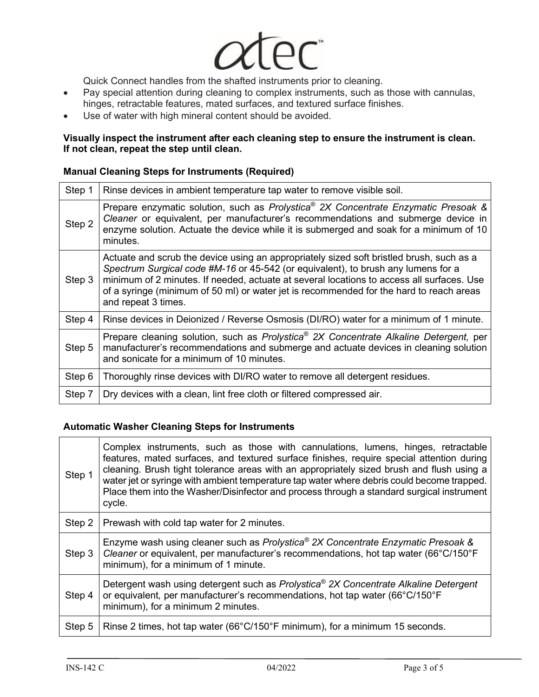

Quick Connect handles from the shafted instruments prior to cleaning.

- Pay special attention during cleaning to complex instruments, such as those with cannulas, hinges, retractable features, mated surfaces, and textured surface finishes.
- Use of water with high mineral content should be avoided.

#### **Visually inspect the instrument after each cleaning step to ensure the instrument is clean. If not clean, repeat the step until clean.**

#### **Manual Cleaning Steps for Instruments (Required)**

| Step 1 | Rinse devices in ambient temperature tap water to remove visible soil.                                                                                                                                                                                                                                                                                                                       |
|--------|----------------------------------------------------------------------------------------------------------------------------------------------------------------------------------------------------------------------------------------------------------------------------------------------------------------------------------------------------------------------------------------------|
| Step 2 | Prepare enzymatic solution, such as Prolystica <sup>®</sup> 2X Concentrate Enzymatic Presoak &<br>Cleaner or equivalent, per manufacturer's recommendations and submerge device in<br>enzyme solution. Actuate the device while it is submerged and soak for a minimum of 10<br>minutes.                                                                                                     |
| Step 3 | Actuate and scrub the device using an appropriately sized soft bristled brush, such as a<br>Spectrum Surgical code #M-16 or 45-542 (or equivalent), to brush any lumens for a<br>minimum of 2 minutes. If needed, actuate at several locations to access all surfaces. Use<br>of a syringe (minimum of 50 ml) or water jet is recommended for the hard to reach areas<br>and repeat 3 times. |
| Step 4 | Rinse devices in Deionized / Reverse Osmosis (DI/RO) water for a minimum of 1 minute.                                                                                                                                                                                                                                                                                                        |
| Step 5 | Prepare cleaning solution, such as Prolystica <sup>®</sup> 2X Concentrate Alkaline Detergent, per<br>manufacturer's recommendations and submerge and actuate devices in cleaning solution<br>and sonicate for a minimum of 10 minutes.                                                                                                                                                       |
| Step 6 | Thoroughly rinse devices with DI/RO water to remove all detergent residues.                                                                                                                                                                                                                                                                                                                  |
| Step 7 | Dry devices with a clean, lint free cloth or filtered compressed air.                                                                                                                                                                                                                                                                                                                        |

#### **Automatic Washer Cleaning Steps for Instruments**

| Step 1 | Complex instruments, such as those with cannulations, lumens, hinges, retractable<br>features, mated surfaces, and textured surface finishes, require special attention during<br>cleaning. Brush tight tolerance areas with an appropriately sized brush and flush using a<br>water jet or syringe with ambient temperature tap water where debris could become trapped.<br>Place them into the Washer/Disinfector and process through a standard surgical instrument<br>cycle. |  |  |  |  |  |
|--------|----------------------------------------------------------------------------------------------------------------------------------------------------------------------------------------------------------------------------------------------------------------------------------------------------------------------------------------------------------------------------------------------------------------------------------------------------------------------------------|--|--|--|--|--|
| Step 2 | Prewash with cold tap water for 2 minutes.                                                                                                                                                                                                                                                                                                                                                                                                                                       |  |  |  |  |  |
| Step 3 | Enzyme wash using cleaner such as Prolystica <sup>®</sup> 2X Concentrate Enzymatic Presoak &<br>Cleaner or equivalent, per manufacturer's recommendations, hot tap water (66°C/150°F)<br>minimum), for a minimum of 1 minute.                                                                                                                                                                                                                                                    |  |  |  |  |  |
| Step 4 | Detergent wash using detergent such as Prolystica <sup>®</sup> 2X Concentrate Alkaline Detergent<br>or equivalent, per manufacturer's recommendations, hot tap water (66°C/150°F)<br>minimum), for a minimum 2 minutes.                                                                                                                                                                                                                                                          |  |  |  |  |  |
| Step 5 | Rinse 2 times, hot tap water (66°C/150°F minimum), for a minimum 15 seconds.                                                                                                                                                                                                                                                                                                                                                                                                     |  |  |  |  |  |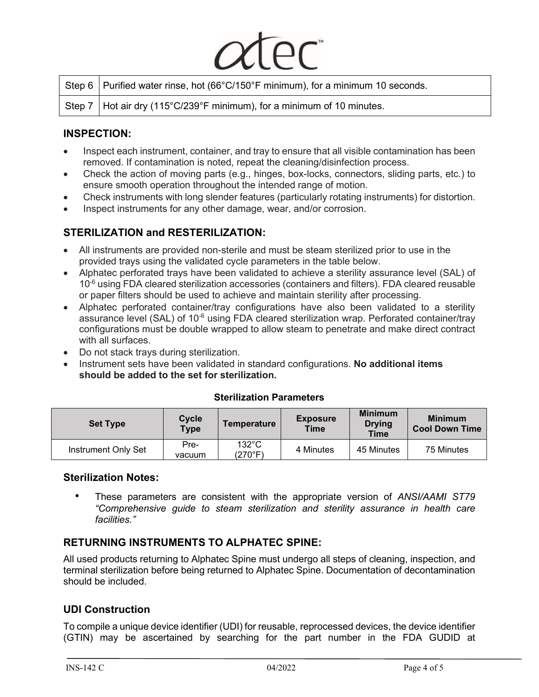| Step 6   Purified water rinse, hot (66°C/150°F minimum), for a minimum 10 seconds. |
|------------------------------------------------------------------------------------|
| Step 7   Hot air dry (115°C/239°F minimum), for a minimum of 10 minutes.           |

## **INSPECTION:**

- Inspect each instrument, container, and tray to ensure that all visible contamination has been removed. If contamination is noted, repeat the cleaning/disinfection process.
- Check the action of moving parts (e.g., hinges, box-locks, connectors, sliding parts, etc.) to ensure smooth operation throughout the intended range of motion.
- Check instruments with long slender features (particularly rotating instruments) for distortion.
- Inspect instruments for any other damage, wear, and/or corrosion.

## **STERILIZATION and RESTERILIZATION:**

- All instruments are provided non-sterile and must be steam sterilized prior to use in the provided trays using the validated cycle parameters in the table below.
- Alphatec perforated trays have been validated to achieve a sterility assurance level (SAL) of 10<sup>-6</sup> using FDA cleared sterilization accessories (containers and filters). FDA cleared reusable or paper filters should be used to achieve and maintain sterility after processing.
- Alphatec perforated container/tray configurations have also been validated to a sterility assurance level (SAL) of 10<sup>-6</sup> using FDA cleared sterilization wrap. Perforated container/tray configurations must be double wrapped to allow steam to penetrate and make direct contract with all surfaces.
- Do not stack trays during sterilization.
- Instrument sets have been validated in standard configurations. **No additional items should be added to the set for sterilization.**

| <b>Set Type</b>     | Cycle<br><b>Type</b> | Temperature                | <b>Exposure</b><br><b>Time</b> | <b>Minimum</b><br><b>Drying</b><br><b>Time</b> | <b>Minimum</b><br><b>Cool Down Time</b> |
|---------------------|----------------------|----------------------------|--------------------------------|------------------------------------------------|-----------------------------------------|
| Instrument Only Set | Pre-<br>vacuum       | $132^{\circ}$ C<br>(270°F) | 4 Minutes                      | 45 Minutes                                     | 75 Minutes                              |

### **Sterilization Parameters**

### **Sterilization Notes:**

 • These parameters are consistent with the appropriate version of *ANSI/AAMI ST79 "Comprehensive guide to steam sterilization and sterility assurance in health care facilities."*

## **RETURNING INSTRUMENTS TO ALPHATEC SPINE:**

All used products returning to Alphatec Spine must undergo all steps of cleaning, inspection, and terminal sterilization before being returned to Alphatec Spine. Documentation of decontamination should be included.

## **UDI Construction**

To compile a unique device identifier (UDI) for reusable, reprocessed devices, the device identifier (GTIN) may be ascertained by searching for the part number in the FDA GUDID at